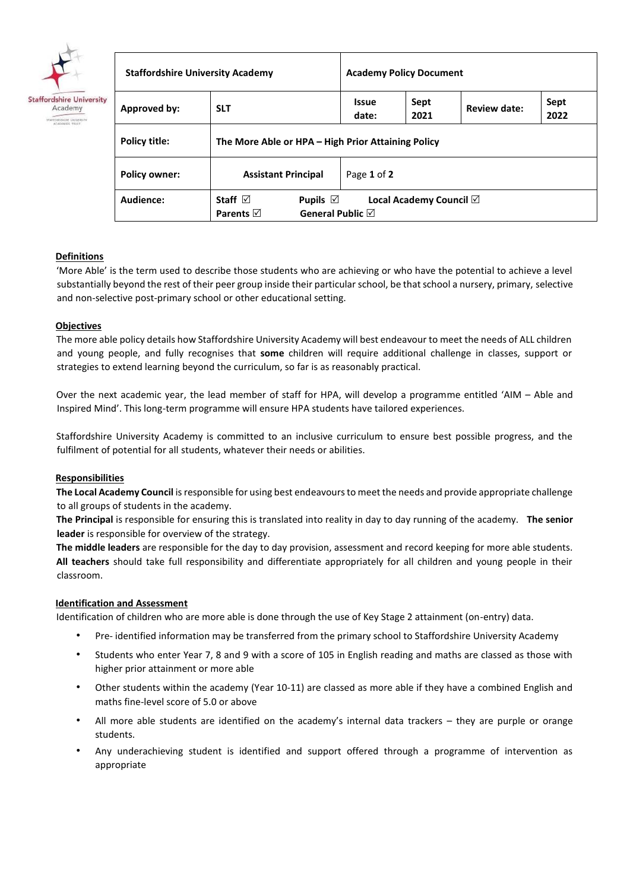

| <b>Staffordshire University Academy</b> |                                                                                          | <b>Academy Policy Document</b> |                                   |              |              |  |  |  |
|-----------------------------------------|------------------------------------------------------------------------------------------|--------------------------------|-----------------------------------|--------------|--------------|--|--|--|
| Approved by:                            | <b>SLT</b>                                                                               | <b>Issue</b><br>date:          | Sept<br>2021                      | Review date: | Sept<br>2022 |  |  |  |
| Policy title:                           | The More Able or HPA – High Prior Attaining Policy                                       |                                |                                   |              |              |  |  |  |
| <b>Policy owner:</b>                    | <b>Assistant Principal</b>                                                               | Page 1 of 2                    |                                   |              |              |  |  |  |
| Audience:                               | Staff $\boxdot$<br>Pupils $\boxdot$<br>General Public $\boxtimes$<br>Parents $\boxtimes$ |                                | Local Academy Council $\boxtimes$ |              |              |  |  |  |

# **Definitions**

'More Able' is the term used to describe those students who are achieving or who have the potential to achieve a level substantially beyond the rest of their peer group inside their particular school, be that school a nursery, primary, selective and non-selective post-primary school or other educational setting.

## **Objectives**

The more able policy details how Staffordshire University Academy will best endeavour to meet the needs of ALL children and young people, and fully recognises that **some** children will require additional challenge in classes, support or strategies to extend learning beyond the curriculum, so far is as reasonably practical.

Over the next academic year, the lead member of staff for HPA, will develop a programme entitled 'AIM – Able and Inspired Mind'. This long-term programme will ensure HPA students have tailored experiences.

Staffordshire University Academy is committed to an inclusive curriculum to ensure best possible progress, and the fulfilment of potential for all students, whatever their needs or abilities.

## **Responsibilities**

**The Local Academy Council** is responsible for using best endeavours to meet the needs and provide appropriate challenge to all groups of students in the academy.

**The Principal** is responsible for ensuring this is translated into reality in day to day running of the academy. **The senior leader** is responsible for overview of the strategy.

**The middle leaders** are responsible for the day to day provision, assessment and record keeping for more able students. **All teachers** should take full responsibility and differentiate appropriately for all children and young people in their classroom.

## **Identification and Assessment**

Identification of children who are more able is done through the use of Key Stage 2 attainment (on-entry) data.

- Pre- identified information may be transferred from the primary school to Staffordshire University Academy
- Students who enter Year 7, 8 and 9 with a score of 105 in English reading and maths are classed as those with higher prior attainment or more able
- Other students within the academy (Year 10-11) are classed as more able if they have a combined English and maths fine-level score of 5.0 or above
- All more able students are identified on the academy's internal data trackers they are purple or orange students.
- Any underachieving student is identified and support offered through a programme of intervention as appropriate